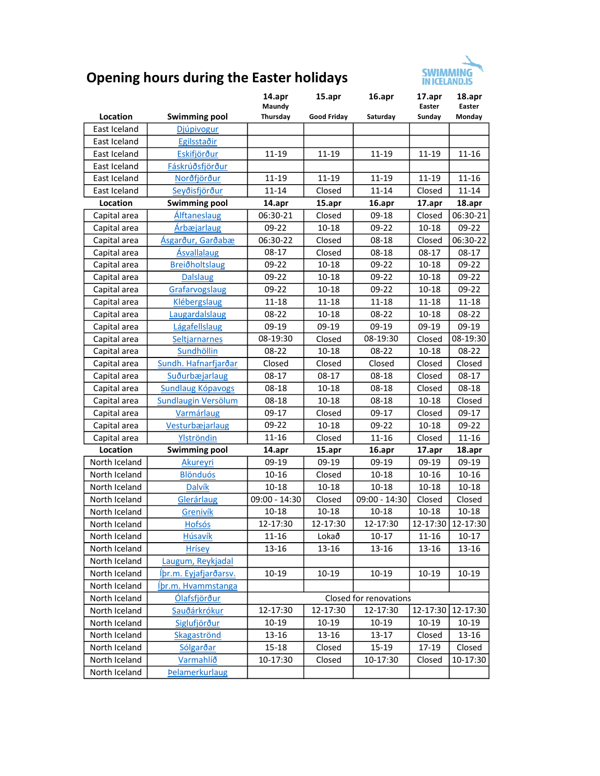

## Opening hours during the Easter holidays

|               |                          | 14.apr<br>Maundy       | 15.apr             | 16.apr        | 17.apr<br>Easter<br>Sunday | 18.apr<br>Easter  |  |  |  |
|---------------|--------------------------|------------------------|--------------------|---------------|----------------------------|-------------------|--|--|--|
| Location      | <b>Swimming pool</b>     | Thursday               | <b>Good Friday</b> | Saturday      |                            | Monday            |  |  |  |
| East Iceland  | Djúpivogur               |                        |                    |               |                            |                   |  |  |  |
| East Iceland  | Egilsstaðir              |                        |                    |               |                            |                   |  |  |  |
| East Iceland  | Eskifjörður              | 11-19                  | $11 - 19$          | 11-19         | 11-19                      | 11-16             |  |  |  |
| East Iceland  | Fáskrúðsfjörður          |                        |                    |               |                            |                   |  |  |  |
| East Iceland  | Norðfjörður              | 11-19                  | 11-19              | 11-19         | 11-19                      | $11 - 16$         |  |  |  |
| East Iceland  | Seyðisfjörður            | 11-14                  | Closed             | $11 - 14$     | Closed                     | $11 - 14$         |  |  |  |
| Location      | <b>Swimming pool</b>     | 14.apr                 | 15.apr             | 16.apr        | 17.apr                     | 18.apr            |  |  |  |
| Capital area  | Álftaneslaug             | 06:30-21               | Closed             | $09-18$       | Closed                     | 06:30-21          |  |  |  |
| Capital area  | Árbæjarlaug              | 09-22                  | $10 - 18$          | 09-22         | $10 - 18$                  | 09-22             |  |  |  |
| Capital area  | Ásgarður, Garðabæ        | 06:30-22               | Closed             | 08-18         | Closed                     | 06:30-22          |  |  |  |
| Capital area  | <b>Ásvallalaug</b>       | $08-17$                | Closed             | 08-18         | $08-17$                    | $08-17$           |  |  |  |
| Capital area  | Breiðholtslaug           | $09-22$                | $10 - 18$          | 09-22         | 10-18                      | $09-22$           |  |  |  |
| Capital area  | <b>Dalslaug</b>          | 09-22                  | $10 - 18$          | 09-22         | 10-18                      | $09-22$           |  |  |  |
| Capital area  | Grafarvogslaug           | 09-22                  | $10 - 18$          | 09-22         | 10-18                      | $09 - 22$         |  |  |  |
| Capital area  | <b>Klébergslaug</b>      | 11-18                  | $11 - 18$          | 11-18         | 11-18                      | 11-18             |  |  |  |
| Capital area  | Laugardalslaug           | 08-22                  | $10 - 18$          | 08-22         | 10-18                      | 08-22             |  |  |  |
| Capital area  | Lágafellslaug            | 09-19                  | 09-19              | 09-19         | 09-19                      | 09-19             |  |  |  |
| Capital area  | Seltjarnarnes            | 08-19:30               | Closed             | 08-19:30      | Closed                     | 08-19:30          |  |  |  |
| Capital area  | Sundhöllin               | 08-22                  | $10 - 18$          | 08-22         | $10 - 18$                  | 08-22             |  |  |  |
| Capital area  | Sundh. Hafnarfjarðar     | Closed                 | Closed             | Closed        | Closed                     | Closed            |  |  |  |
| Capital area  | Suðurbæjarlaug           | $08-17$                | $08-17$            | 08-18         | Closed                     | $08-17$           |  |  |  |
| Capital area  | <b>Sundlaug Kópavogs</b> | 08-18                  | $10 - 18$          | 08-18         | Closed                     | $08 - 18$         |  |  |  |
| Capital area  | Sundlaugin Versölum      | $08-18$                | $10 - 18$          | $08 - 18$     | 10-18                      | Closed            |  |  |  |
| Capital area  | Varmárlaug               | $09-17$                | Closed             | 09-17         | Closed                     | 09-17             |  |  |  |
| Capital area  | Vesturbæjarlaug          | 09-22                  | $10 - 18$          | 09-22         | 10-18                      | 09-22             |  |  |  |
| Capital area  | Ylströndin               | 11-16                  | Closed             | 11-16         | Closed                     | $11 - 16$         |  |  |  |
| Location      | <b>Swimming pool</b>     | 14.apr                 | 15.apr             | 16.apr        | 17.apr                     | 18.apr            |  |  |  |
| North Iceland | Akureyri                 | 09-19                  | 09-19              | 09-19         | 09-19                      | 09-19             |  |  |  |
| North Iceland | <b>Blönduós</b>          | 10-16                  | Closed             | $10 - 18$     | 10-16                      | 10-16             |  |  |  |
| North Iceland | <b>Dalvík</b>            | $10 - 18$              | $10 - 18$          | $10 - 18$     | 10-18                      | $10 - 18$         |  |  |  |
| North Iceland | Glerárlaug               | 09:00 - 14:30          | Closed             | 09:00 - 14:30 | Closed                     | Closed            |  |  |  |
| North Iceland | Grenivík                 | $10 - 18$              | $10 - 18$          | $10 - 18$     | $10 - 18$                  | $10 - 18$         |  |  |  |
| North Iceland | <b>Hofsós</b>            | 12-17:30               | 12-17:30           | 12-17:30      |                            | 12-17:30 12-17:30 |  |  |  |
| North Iceland | Húsavík                  | $11 - 16$              | Lokað              | $10 - 17$     | $11 - 16$                  | 10-17             |  |  |  |
| North Iceland | <b>Hrísey</b>            | 13-16                  | 13-16              | 13-16         | 13-16                      | 13-16             |  |  |  |
| North Iceland | Laugum, Reykjadal        |                        |                    |               |                            |                   |  |  |  |
| North Iceland | Íþr.m. Eyjafjarðarsv.    | 10-19                  | 10-19              | 10-19         | 10-19                      | 10-19             |  |  |  |
| North Iceland | Íþr.m. Hvammstanga       |                        |                    |               |                            |                   |  |  |  |
| North Iceland | Ólafsfjörður             | Closed for renovations |                    |               |                            |                   |  |  |  |
| North Iceland | <u>Sauðárkrókur</u>      | 12-17:30               | 12-17:30           | 12-17:30      | 12-17:30                   | 12-17:30          |  |  |  |
| North Iceland | Siglufjörður             | 10-19                  | $10-19$            | $10-19$       | 10-19                      | 10-19             |  |  |  |
| North Iceland | Skagaströnd              | 13-16                  | 13-16              | 13-17         | Closed                     | $13 - 16$         |  |  |  |
| North Iceland | Sólgarðar                | $15 - 18$              | Closed             | $15 - 19$     | 17-19                      | Closed            |  |  |  |
| North Iceland | Varmahlíð                | 10-17:30               | Closed             | 10-17:30      | Closed                     | 10-17:30          |  |  |  |
| North Iceland | <b>Pelamerkurlaug</b>    |                        |                    |               |                            |                   |  |  |  |